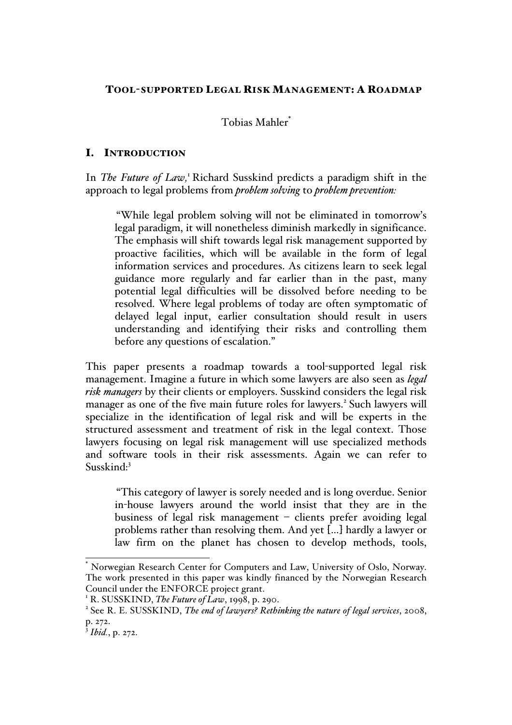# TOOL-SUPPORTED LEGAL RISK MANAGEMENT: A ROADMAP

# Tobias Mahler\*

## I. INTRODUCTION

In *The Future of Law*,<sup>1</sup> Richard Susskind predicts a paradigm shift in the approach to legal problems from *problem solving* to *problem prevention:* 

"While legal problem solving will not be eliminated in tomorrow's legal paradigm, it will nonetheless diminish markedly in significance. The emphasis will shift towards legal risk management supported by proactive facilities, which will be available in the form of legal information services and procedures. As citizens learn to seek legal guidance more regularly and far earlier than in the past, many potential legal difficulties will be dissolved before needing to be resolved. Where legal problems of today are often symptomatic of delayed legal input, earlier consultation should result in users understanding and identifying their risks and controlling them before any questions of escalation."

This paper presents a roadmap towards a tool-supported legal risk management. Imagine a future in which some lawyers are also seen as *legal risk managers* by their clients or employers. Susskind considers the legal risk manager as one of the five main future roles for lawyers.<sup>2</sup> Such lawyers will specialize in the identification of legal risk and will be experts in the structured assessment and treatment of risk in the legal context. Those lawyers focusing on legal risk management will use specialized methods and software tools in their risk assessments. Again we can refer to Susskind:3

"This category of lawyer is sorely needed and is long overdue. Senior in-house lawyers around the world insist that they are in the business of legal risk management – clients prefer avoiding legal problems rather than resolving them. And yet […] hardly a lawyer or law firm on the planet has chosen to develop methods, tools,

Norwegian Research Center for Computers and Law, University of Oslo, Norway. The work presented in this paper was kindly financed by the Norwegian Research Council under the ENFORCE project grant.

<sup>&</sup>lt;sup>1</sup> R. SUSSKIND, *The Future of Law*, 1998, p. 290.<br><sup>2</sup> See R. E. SUSSKIND, *The end of lawyers? Rethinking the nature of legal services*, 2008, p. 272.

 $\frac{3}{3}$ *Ibid.*, p. 272.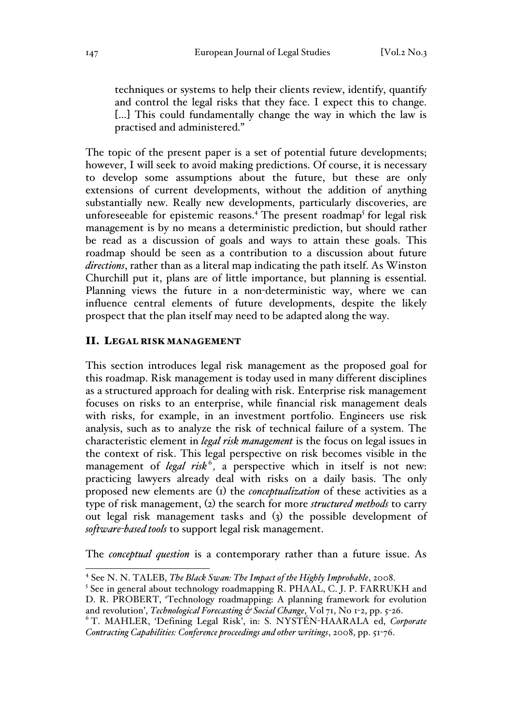techniques or systems to help their clients review, identify, quantify and control the legal risks that they face. I expect this to change. [...] This could fundamentally change the way in which the law is practised and administered."

The topic of the present paper is a set of potential future developments; however, I will seek to avoid making predictions. Of course, it is necessary to develop some assumptions about the future, but these are only extensions of current developments, without the addition of anything substantially new. Really new developments, particularly discoveries, are unforeseeable for epistemic reasons.<sup>4</sup> The present roadmap<sup>5</sup> for legal risk management is by no means a deterministic prediction, but should rather be read as a discussion of goals and ways to attain these goals. This roadmap should be seen as a contribution to a discussion about future *directions*, rather than as a literal map indicating the path itself. As Winston Churchill put it, plans are of little importance, but planning is essential. Planning views the future in a non-deterministic way, where we can influence central elements of future developments, despite the likely prospect that the plan itself may need to be adapted along the way.

#### II. LEGAL RISK MANAGEMENT

This section introduces legal risk management as the proposed goal for this roadmap. Risk management is today used in many different disciplines as a structured approach for dealing with risk. Enterprise risk management focuses on risks to an enterprise, while financial risk management deals with risks, for example, in an investment portfolio. Engineers use risk analysis, such as to analyze the risk of technical failure of a system. The characteristic element in *legal risk management* is the focus on legal issues in the context of risk. This legal perspective on risk becomes visible in the management of *legal risk*<sup>6</sup>, a perspective which in itself is not new: practicing lawyers already deal with risks on a daily basis. The only proposed new elements are (1) the *conceptualization* of these activities as a type of risk management, (2) the search for more *structured methods* to carry out legal risk management tasks and (3) the possible development of *software-based tools* to support legal risk management.

The *conceptual question* is a contemporary rather than a future issue. As

 <sup>4</sup> See N. N. TALEB, *The Black Swan: The Impact of the Highly Improbable*, 2008.

 $5$  See in general about technology roadmapping R. PHAAL, C. J. P. FARRUKH and D. R. PROBERT, 'Technology roadmapping: A planning framework for evolution and revolution', *Technological Forecasting* & Social Change, Vol 71, No 1-2, pp. 5-26.

<sup>&</sup>lt;sup>6</sup> T. MAHLER, 'Defining Legal Risk', in: S. NYSTÉN-HAARALA ed, Corporate *Contracting Capabilities: Conference proceedings and other writings*, 2008, pp. 51-76.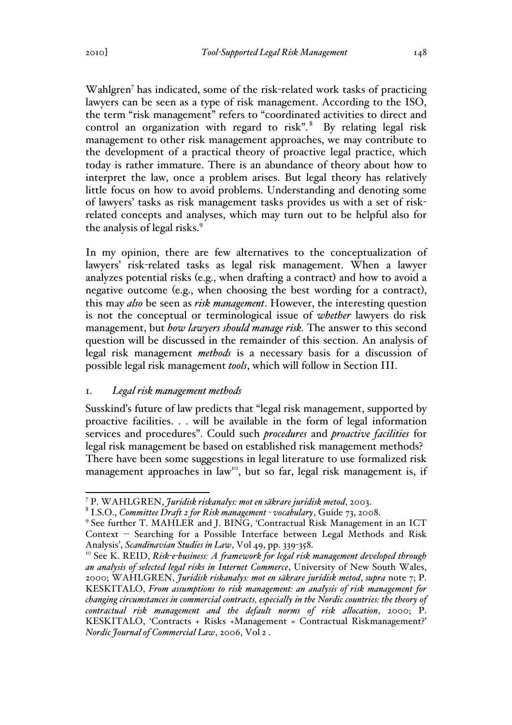Wahlgren<sup>7</sup> has indicated, some of the risk-related work tasks of practicing lawyers can be seen as a type of risk management. According to the ISO, the term "risk management" refers to "coordinated activities to direct and control an organization with regard to risk". $8$  By relating legal risk management to other risk management approaches, we may contribute to the development of a practical theory of proactive legal practice, which today is rather immature. There is an abundance of theory about how to interpret the law, once a problem arises. But legal theory has relatively little focus on how to avoid problems. Understanding and denoting some of lawyers' tasks as risk management tasks provides us with a set of riskrelated concepts and analyses, which may turn out to be helpful also for the analysis of legal risks.<sup>9</sup>

In my opinion, there are few alternatives to the conceptualization of lawyers' risk-related tasks as legal risk management. When a lawyer analyzes potential risks (e.g., when drafting a contract) and how to avoid a negative outcome (e.g., when choosing the best wording for a contract), this may *also* be seen as *risk management*. However, the interesting question is not the conceptual or terminological issue of *whether* lawyers do risk management, but *how lawyers should manage risk.* The answer to this second question will be discussed in the remainder of this section. An analysis of legal risk management *methods* is a necessary basis for a discussion of possible legal risk management *tools*, which will follow in Section III.

## 1. *Legal risk management methods*

Susskind's future of law predicts that "legal risk management, supported by proactive facilities. . . will be available in the form of legal information services and procedures". Could such *procedures* and *proactive facilities* for legal risk management be based on established risk management methods? There have been some suggestions in legal literature to use formalized risk management approaches in law<sup>10</sup>, but so far, legal risk management is, if

<sup>&</sup>lt;sup>7</sup> P. WAHLGREN, *Juridisk riskanalys: mot en säkrare juridisk metod*, 2003.<br><sup>8</sup> I.S.O., *Committee Draft 2 for Risk management - vocabulary*, Guide 73, 2008.<br><sup>9</sup> See further T. MAHLER and J. BING, 'Contractual Risk Manage

Context -- Searching for a Possible Interface between Legal Methods and Risk Analysis', *Scandinavian Studies in Law*, Vol 49, pp. 339-358.<br><sup>10</sup> See K. REID, *Risk-e-business: A framework for legal risk management developed through* 

*an analysis of selected legal risks in Internet Commerce*, University of New South Wales, 2000; WAHLGREN, *Juridisk riskanalys: mot en säkrare juridisk metod*, *supra* note 7; P. KESKITALO, *From assumptions to risk management: an analysis of risk management for changing circumstances in commercial contracts, especially in the Nordic countries: the theory of contractual risk management and the default norms of risk allocation*, 2000; P. KESKITALO, 'Contracts + Risks +Management = Contractual Riskmanagement?' *Nordic Journal of Commercial Law*, 2006, Vol 2 .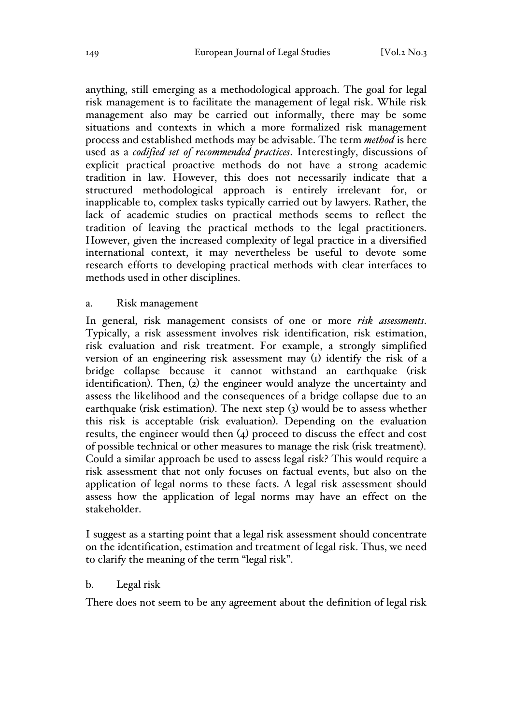anything, still emerging as a methodological approach. The goal for legal risk management is to facilitate the management of legal risk. While risk management also may be carried out informally, there may be some situations and contexts in which a more formalized risk management process and established methods may be advisable. The term *method* is here used as a *codified set of recommended practices*. Interestingly, discussions of explicit practical proactive methods do not have a strong academic tradition in law. However, this does not necessarily indicate that a structured methodological approach is entirely irrelevant for, or inapplicable to, complex tasks typically carried out by lawyers. Rather, the lack of academic studies on practical methods seems to reflect the tradition of leaving the practical methods to the legal practitioners. However, given the increased complexity of legal practice in a diversified international context, it may nevertheless be useful to devote some research efforts to developing practical methods with clear interfaces to methods used in other disciplines.

### a. Risk management

In general, risk management consists of one or more *risk assessments*. Typically, a risk assessment involves risk identification, risk estimation, risk evaluation and risk treatment. For example, a strongly simplified version of an engineering risk assessment may (1) identify the risk of a bridge collapse because it cannot withstand an earthquake (risk identification). Then, (2) the engineer would analyze the uncertainty and assess the likelihood and the consequences of a bridge collapse due to an earthquake (risk estimation). The next step (3) would be to assess whether this risk is acceptable (risk evaluation). Depending on the evaluation results, the engineer would then (4) proceed to discuss the effect and cost of possible technical or other measures to manage the risk (risk treatment). Could a similar approach be used to assess legal risk? This would require a risk assessment that not only focuses on factual events, but also on the application of legal norms to these facts. A legal risk assessment should assess how the application of legal norms may have an effect on the stakeholder.

I suggest as a starting point that a legal risk assessment should concentrate on the identification, estimation and treatment of legal risk. Thus, we need to clarify the meaning of the term "legal risk".

### b. Legal risk

There does not seem to be any agreement about the definition of legal risk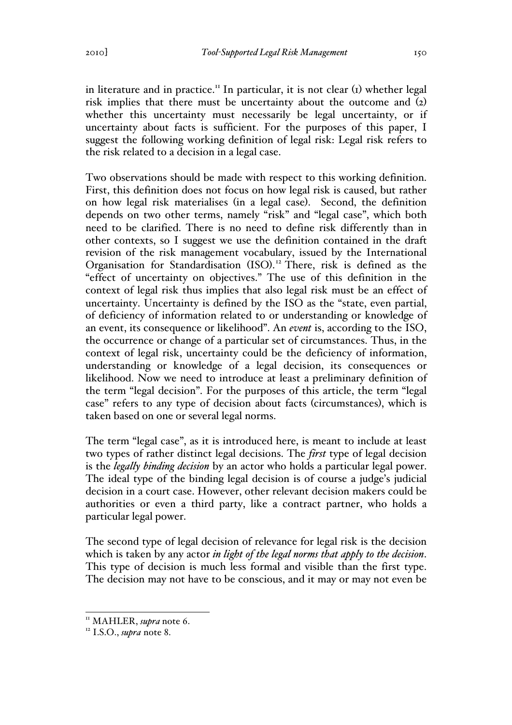in literature and in practice.<sup>11</sup> In particular, it is not clear  $(i)$  whether legal risk implies that there must be uncertainty about the outcome and (2) whether this uncertainty must necessarily be legal uncertainty, or if uncertainty about facts is sufficient. For the purposes of this paper, I suggest the following working definition of legal risk: Legal risk refers to the risk related to a decision in a legal case.

Two observations should be made with respect to this working definition. First, this definition does not focus on how legal risk is caused, but rather on how legal risk materialises (in a legal case). Second, the definition depends on two other terms, namely "risk" and "legal case", which both need to be clarified. There is no need to define risk differently than in other contexts, so I suggest we use the definition contained in the draft revision of the risk management vocabulary, issued by the International Organisation for Standardisation (ISO). <sup>12</sup> There, risk is defined as the "effect of uncertainty on objectives." The use of this definition in the context of legal risk thus implies that also legal risk must be an effect of uncertainty. Uncertainty is defined by the ISO as the "state, even partial, of deficiency of information related to or understanding or knowledge of an event, its consequence or likelihood". An *event* is, according to the ISO, the occurrence or change of a particular set of circumstances. Thus, in the context of legal risk, uncertainty could be the deficiency of information, understanding or knowledge of a legal decision, its consequences or likelihood. Now we need to introduce at least a preliminary definition of the term "legal decision". For the purposes of this article, the term "legal case" refers to any type of decision about facts (circumstances), which is taken based on one or several legal norms.

The term "legal case", as it is introduced here, is meant to include at least two types of rather distinct legal decisions. The *first* type of legal decision is the *legally binding decision* by an actor who holds a particular legal power. The ideal type of the binding legal decision is of course a judge's judicial decision in a court case. However, other relevant decision makers could be authorities or even a third party, like a contract partner, who holds a particular legal power.

The second type of legal decision of relevance for legal risk is the decision which is taken by any actor *in light of the legal norms that apply to the decision*. This type of decision is much less formal and visible than the first type. The decision may not have to be conscious, and it may or may not even be

<sup>&</sup>lt;sup>11</sup> MAHLER, *supra* note 6.<br><sup>12</sup> I.S.O., *supra* note 8.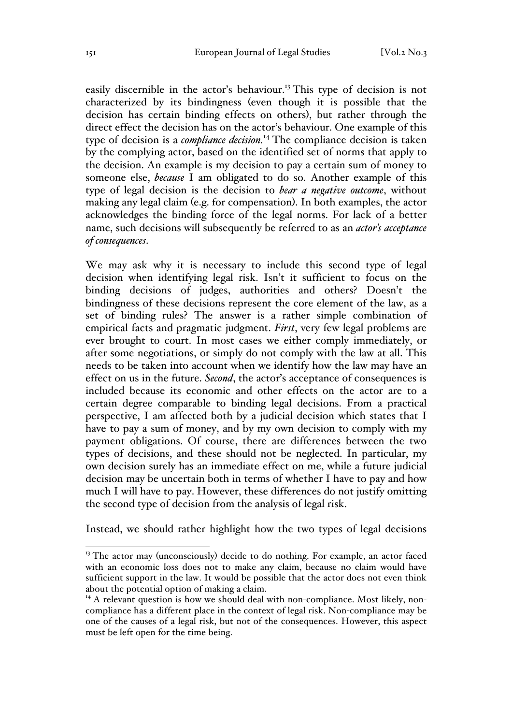easily discernible in the actor's behaviour.<sup>13</sup> This type of decision is not characterized by its bindingness (even though it is possible that the decision has certain binding effects on others), but rather through the direct effect the decision has on the actor's behaviour. One example of this type of decision is a *compliance decision.*<sup>14</sup> The compliance decision is taken by the complying actor, based on the identified set of norms that apply to the decision. An example is my decision to pay a certain sum of money to someone else, *because* I am obligated to do so. Another example of this type of legal decision is the decision to *bear a negative outcome*, without making any legal claim (e.g. for compensation). In both examples, the actor acknowledges the binding force of the legal norms. For lack of a better name, such decisions will subsequently be referred to as an *actor's acceptance of consequences*.

We may ask why it is necessary to include this second type of legal decision when identifying legal risk. Isn't it sufficient to focus on the binding decisions of judges, authorities and others? Doesn't the bindingness of these decisions represent the core element of the law, as a set of binding rules? The answer is a rather simple combination of empirical facts and pragmatic judgment. *First*, very few legal problems are ever brought to court. In most cases we either comply immediately, or after some negotiations, or simply do not comply with the law at all. This needs to be taken into account when we identify how the law may have an effect on us in the future. *Second*, the actor's acceptance of consequences is included because its economic and other effects on the actor are to a certain degree comparable to binding legal decisions. From a practical perspective, I am affected both by a judicial decision which states that I have to pay a sum of money, and by my own decision to comply with my payment obligations. Of course, there are differences between the two types of decisions, and these should not be neglected. In particular, my own decision surely has an immediate effect on me, while a future judicial decision may be uncertain both in terms of whether I have to pay and how much I will have to pay. However, these differences do not justify omitting the second type of decision from the analysis of legal risk.

Instead, we should rather highlight how the two types of legal decisions

<sup>&</sup>lt;sup>13</sup> The actor may (unconsciously) decide to do nothing. For example, an actor faced with an economic loss does not to make any claim, because no claim would have sufficient support in the law. It would be possible that the actor does not even think about the potential option of making a claim.

 $14$  A relevant question is how we should deal with non-compliance. Most likely, noncompliance has a different place in the context of legal risk. Non-compliance may be one of the causes of a legal risk, but not of the consequences. However, this aspect must be left open for the time being.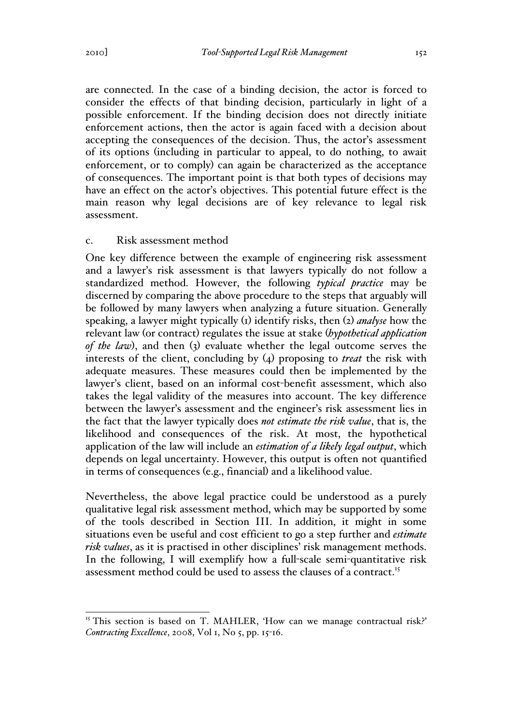are connected. In the case of a binding decision, the actor is forced to consider the effects of that binding decision, particularly in light of a possible enforcement. If the binding decision does not directly initiate enforcement actions, then the actor is again faced with a decision about accepting the consequences of the decision. Thus, the actor's assessment of its options (including in particular to appeal, to do nothing, to await enforcement, or to comply) can again be characterized as the acceptance of consequences. The important point is that both types of decisions may have an effect on the actor's objectives. This potential future effect is the main reason why legal decisions are of key relevance to legal risk assessment.

#### c. Risk assessment method

One key difference between the example of engineering risk assessment and a lawyer's risk assessment is that lawyers typically do not follow a standardized method. However, the following *typical practice* may be discerned by comparing the above procedure to the steps that arguably will be followed by many lawyers when analyzing a future situation. Generally speaking, a lawyer might typically (1) identify risks, then (2) *analyse* how the relevant law (or contract) regulates the issue at stake (*hypothetical application of the law*), and then (3) evaluate whether the legal outcome serves the interests of the client, concluding by (4) proposing to *treat* the risk with adequate measures. These measures could then be implemented by the lawyer's client, based on an informal cost-benefit assessment, which also takes the legal validity of the measures into account. The key difference between the lawyer's assessment and the engineer's risk assessment lies in the fact that the lawyer typically does *not estimate the risk value*, that is, the likelihood and consequences of the risk. At most, the hypothetical application of the law will include an *estimation of a likely legal output*, which depends on legal uncertainty. However, this output is often not quantified in terms of consequences (e.g., financial) and a likelihood value.

Nevertheless, the above legal practice could be understood as a purely qualitative legal risk assessment method, which may be supported by some of the tools described in Section III. In addition, it might in some situations even be useful and cost efficient to go a step further and *estimate risk values*, as it is practised in other disciplines' risk management methods. In the following, I will exemplify how a full-scale semi-quantitative risk assessment method could be used to assess the clauses of a contract.<sup>15</sup>

<sup>&</sup>lt;sup>15</sup> This section is based on T. MAHLER, 'How can we manage contractual risk?' *Contracting Excellence*, 2008, Vol 1, No 5, pp. 15-16.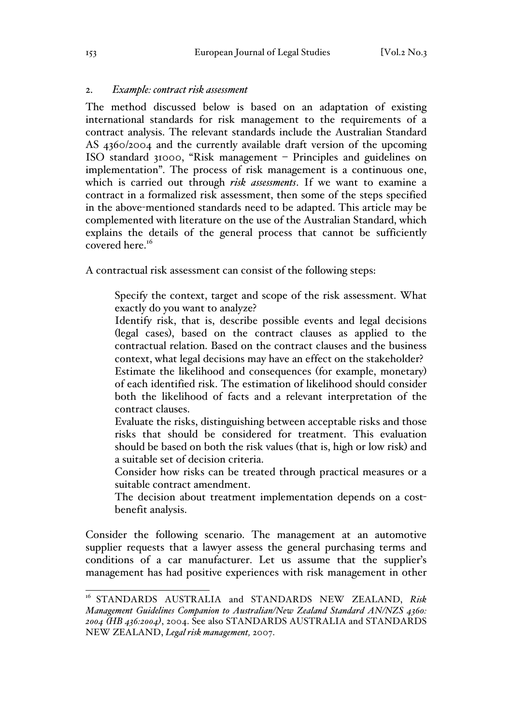#### 2. *Example: contract risk assessment*

The method discussed below is based on an adaptation of existing international standards for risk management to the requirements of a contract analysis. The relevant standards include the Australian Standard AS 4360/2004 and the currently available draft version of the upcoming ISO standard 31000, "Risk management – Principles and guidelines on implementation". The process of risk management is a continuous one, which is carried out through *risk assessments*. If we want to examine a contract in a formalized risk assessment, then some of the steps specified in the above-mentioned standards need to be adapted. This article may be complemented with literature on the use of the Australian Standard, which explains the details of the general process that cannot be sufficiently covered here.<sup>16</sup>

A contractual risk assessment can consist of the following steps:

Specify the context, target and scope of the risk assessment. What exactly do you want to analyze?

Identify risk, that is, describe possible events and legal decisions (legal cases), based on the contract clauses as applied to the contractual relation. Based on the contract clauses and the business context, what legal decisions may have an effect on the stakeholder?

Estimate the likelihood and consequences (for example, monetary) of each identified risk. The estimation of likelihood should consider both the likelihood of facts and a relevant interpretation of the contract clauses.

Evaluate the risks, distinguishing between acceptable risks and those risks that should be considered for treatment. This evaluation should be based on both the risk values (that is, high or low risk) and a suitable set of decision criteria.

Consider how risks can be treated through practical measures or a suitable contract amendment.

The decision about treatment implementation depends on a costbenefit analysis.

Consider the following scenario. The management at an automotive supplier requests that a lawyer assess the general purchasing terms and conditions of a car manufacturer. Let us assume that the supplier's management has had positive experiences with risk management in other

 <sup>16</sup> STANDARDS AUSTRALIA and STANDARDS NEW ZEALAND, *Risk Management Guidelines Companion to Australian/New Zealand Standard AN/NZS 4360: 2004 (HB 436:2004)*, 2004. See also STANDARDS AUSTRALIA and STANDARDS NEW ZEALAND, *Legal risk management,* 2007.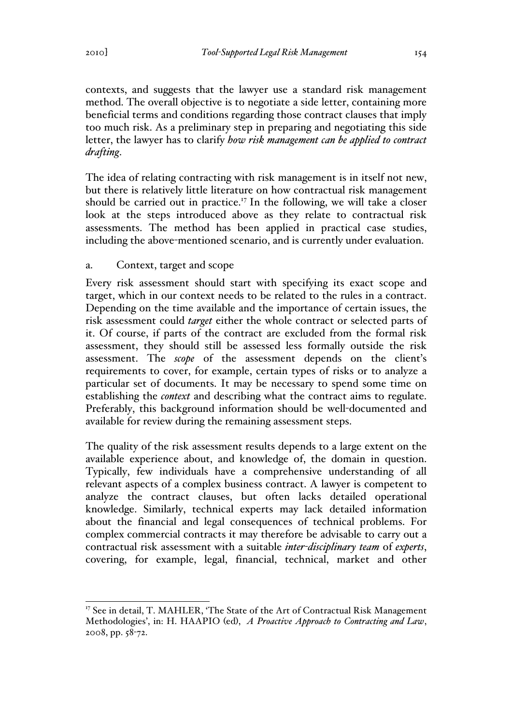contexts, and suggests that the lawyer use a standard risk management method. The overall objective is to negotiate a side letter, containing more beneficial terms and conditions regarding those contract clauses that imply too much risk. As a preliminary step in preparing and negotiating this side letter, the lawyer has to clarify *how risk management can be applied to contract drafting*.

The idea of relating contracting with risk management is in itself not new, but there is relatively little literature on how contractual risk management should be carried out in practice.<sup>17</sup> In the following, we will take a closer look at the steps introduced above as they relate to contractual risk assessments. The method has been applied in practical case studies, including the above-mentioned scenario, and is currently under evaluation.

## a. Context, target and scope

Every risk assessment should start with specifying its exact scope and target, which in our context needs to be related to the rules in a contract. Depending on the time available and the importance of certain issues, the risk assessment could *target* either the whole contract or selected parts of it. Of course, if parts of the contract are excluded from the formal risk assessment, they should still be assessed less formally outside the risk assessment. The *scope* of the assessment depends on the client's requirements to cover, for example, certain types of risks or to analyze a particular set of documents. It may be necessary to spend some time on establishing the *context* and describing what the contract aims to regulate. Preferably, this background information should be well-documented and available for review during the remaining assessment steps.

The quality of the risk assessment results depends to a large extent on the available experience about, and knowledge of, the domain in question. Typically, few individuals have a comprehensive understanding of all relevant aspects of a complex business contract. A lawyer is competent to analyze the contract clauses, but often lacks detailed operational knowledge. Similarly, technical experts may lack detailed information about the financial and legal consequences of technical problems. For complex commercial contracts it may therefore be advisable to carry out a contractual risk assessment with a suitable *inter-disciplinary team* of *experts*, covering, for example, legal, financial, technical, market and other

 $17$  See in detail, T. MAHLER, 'The State of the Art of Contractual Risk Management Methodologies', in: H. HAAPIO (ed), *A Proactive Approach to Contracting and Law*, 2008, pp. 58-72.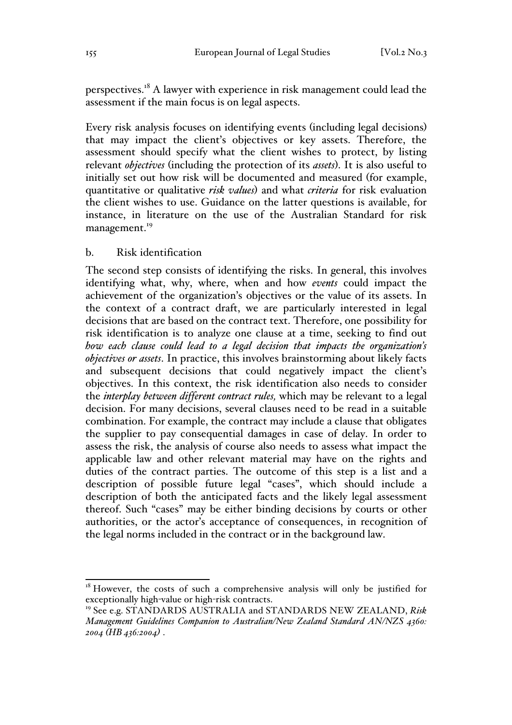perspectives.<sup>18</sup> A lawyer with experience in risk management could lead the assessment if the main focus is on legal aspects.

Every risk analysis focuses on identifying events (including legal decisions) that may impact the client's objectives or key assets. Therefore, the assessment should specify what the client wishes to protect, by listing relevant *objectives* (including the protection of its *assets*). It is also useful to initially set out how risk will be documented and measured (for example, quantitative or qualitative *risk values*) and what *criteria* for risk evaluation the client wishes to use. Guidance on the latter questions is available, for instance, in literature on the use of the Australian Standard for risk management.<sup>19</sup>

#### b. Risk identification

The second step consists of identifying the risks. In general, this involves identifying what, why, where, when and how *events* could impact the achievement of the organization's objectives or the value of its assets. In the context of a contract draft, we are particularly interested in legal decisions that are based on the contract text. Therefore, one possibility for risk identification is to analyze one clause at a time, seeking to find out *how each clause could lead to a legal decision that impacts the organization's objectives or assets*. In practice, this involves brainstorming about likely facts and subsequent decisions that could negatively impact the client's objectives. In this context, the risk identification also needs to consider the *interplay between different contract rules,* which may be relevant to a legal decision. For many decisions, several clauses need to be read in a suitable combination. For example, the contract may include a clause that obligates the supplier to pay consequential damages in case of delay. In order to assess the risk, the analysis of course also needs to assess what impact the applicable law and other relevant material may have on the rights and duties of the contract parties. The outcome of this step is a list and a description of possible future legal "cases", which should include a description of both the anticipated facts and the likely legal assessment thereof. Such "cases" may be either binding decisions by courts or other authorities, or the actor's acceptance of consequences, in recognition of the legal norms included in the contract or in the background law.

 $18$  However, the costs of such a comprehensive analysis will only be justified for exceptionally high-value or high-risk contracts.

<sup>19</sup> See e.g. STANDARDS AUSTRALIA and STANDARDS NEW ZEALAND, *Risk Management Guidelines Companion to Australian/New Zealand Standard AN/NZS 4360: 2004 (HB 436:2004)* .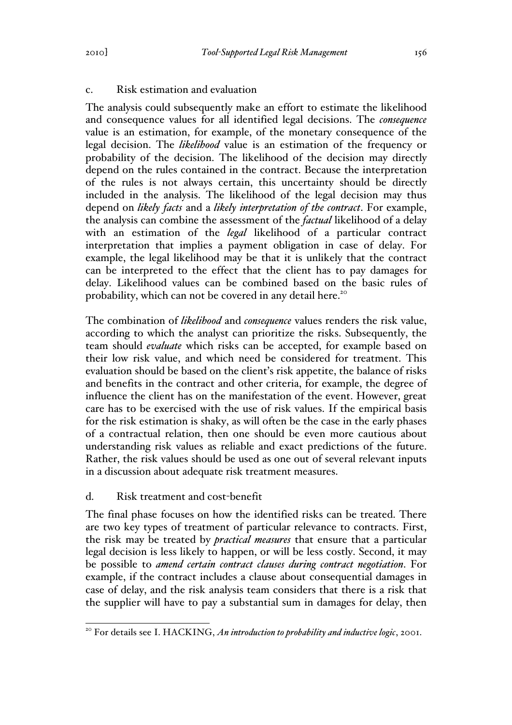## c. Risk estimation and evaluation

The analysis could subsequently make an effort to estimate the likelihood and consequence values for all identified legal decisions. The *consequence* value is an estimation, for example, of the monetary consequence of the legal decision. The *likelihood* value is an estimation of the frequency or probability of the decision. The likelihood of the decision may directly depend on the rules contained in the contract. Because the interpretation of the rules is not always certain, this uncertainty should be directly included in the analysis. The likelihood of the legal decision may thus depend on *likely facts* and a *likely interpretation of the contract*. For example, the analysis can combine the assessment of the *factual* likelihood of a delay with an estimation of the *legal* likelihood of a particular contract interpretation that implies a payment obligation in case of delay. For example, the legal likelihood may be that it is unlikely that the contract can be interpreted to the effect that the client has to pay damages for delay. Likelihood values can be combined based on the basic rules of probability, which can not be covered in any detail here.<sup>20</sup>

The combination of *likelihood* and *consequence* values renders the risk value, according to which the analyst can prioritize the risks. Subsequently, the team should *evaluate* which risks can be accepted, for example based on their low risk value, and which need be considered for treatment. This evaluation should be based on the client's risk appetite, the balance of risks and benefits in the contract and other criteria, for example, the degree of influence the client has on the manifestation of the event. However, great care has to be exercised with the use of risk values. If the empirical basis for the risk estimation is shaky, as will often be the case in the early phases of a contractual relation, then one should be even more cautious about understanding risk values as reliable and exact predictions of the future. Rather, the risk values should be used as one out of several relevant inputs in a discussion about adequate risk treatment measures.

## d. Risk treatment and cost-benefit

The final phase focuses on how the identified risks can be treated. There are two key types of treatment of particular relevance to contracts. First, the risk may be treated by *practical measures* that ensure that a particular legal decision is less likely to happen, or will be less costly. Second, it may be possible to *amend certain contract clauses during contract negotiation*. For example, if the contract includes a clause about consequential damages in case of delay, and the risk analysis team considers that there is a risk that the supplier will have to pay a substantial sum in damages for delay, then

<sup>&</sup>lt;sup>20</sup> For details see I. HACKING, *An introduction to probability and inductive logic*, 2001.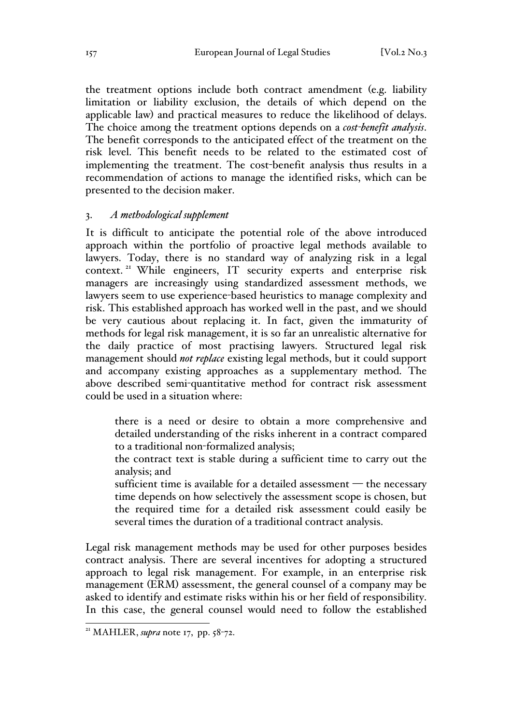the treatment options include both contract amendment (e.g. liability limitation or liability exclusion, the details of which depend on the applicable law) and practical measures to reduce the likelihood of delays. The choice among the treatment options depends on a *cost-benefit analysis*. The benefit corresponds to the anticipated effect of the treatment on the risk level. This benefit needs to be related to the estimated cost of implementing the treatment. The cost-benefit analysis thus results in a recommendation of actions to manage the identified risks, which can be presented to the decision maker.

#### 3. *A methodological supplement*

It is difficult to anticipate the potential role of the above introduced approach within the portfolio of proactive legal methods available to lawyers. Today, there is no standard way of analyzing risk in a legal context. <sup>21</sup> While engineers, IT security experts and enterprise risk managers are increasingly using standardized assessment methods, we lawyers seem to use experience-based heuristics to manage complexity and risk. This established approach has worked well in the past, and we should be very cautious about replacing it. In fact, given the immaturity of methods for legal risk management, it is so far an unrealistic alternative for the daily practice of most practising lawyers. Structured legal risk management should *not replace* existing legal methods, but it could support and accompany existing approaches as a supplementary method. The above described semi-quantitative method for contract risk assessment could be used in a situation where:

there is a need or desire to obtain a more comprehensive and detailed understanding of the risks inherent in a contract compared to a traditional non-formalized analysis;

the contract text is stable during a sufficient time to carry out the analysis; and

sufficient time is available for a detailed assessment — the necessary time depends on how selectively the assessment scope is chosen, but the required time for a detailed risk assessment could easily be several times the duration of a traditional contract analysis.

Legal risk management methods may be used for other purposes besides contract analysis. There are several incentives for adopting a structured approach to legal risk management. For example, in an enterprise risk management (ERM) assessment, the general counsel of a company may be asked to identify and estimate risks within his or her field of responsibility. In this case, the general counsel would need to follow the established

 <sup>21</sup> MAHLER, *supra* note 17, pp. 58-72.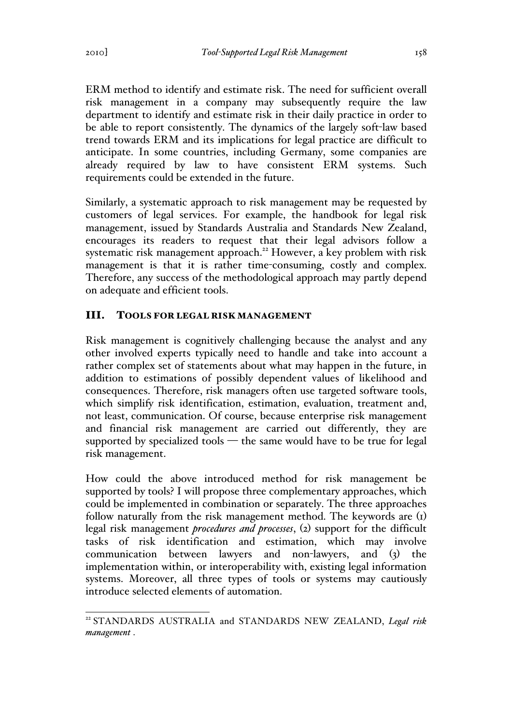ERM method to identify and estimate risk. The need for sufficient overall risk management in a company may subsequently require the law department to identify and estimate risk in their daily practice in order to be able to report consistently. The dynamics of the largely soft-law based trend towards ERM and its implications for legal practice are difficult to anticipate. In some countries, including Germany, some companies are already required by law to have consistent ERM systems. Such requirements could be extended in the future.

Similarly, a systematic approach to risk management may be requested by customers of legal services. For example, the handbook for legal risk management, issued by Standards Australia and Standards New Zealand, encourages its readers to request that their legal advisors follow a systematic risk management approach.<sup>22</sup> However, a key problem with risk management is that it is rather time-consuming, costly and complex. Therefore, any success of the methodological approach may partly depend on adequate and efficient tools.

# III. TOOLS FOR LEGAL RISK MANAGEMENT

Risk management is cognitively challenging because the analyst and any other involved experts typically need to handle and take into account a rather complex set of statements about what may happen in the future, in addition to estimations of possibly dependent values of likelihood and consequences. Therefore, risk managers often use targeted software tools, which simplify risk identification, estimation, evaluation, treatment and, not least, communication. Of course, because enterprise risk management and financial risk management are carried out differently, they are supported by specialized tools  $-$  the same would have to be true for legal risk management.

How could the above introduced method for risk management be supported by tools? I will propose three complementary approaches, which could be implemented in combination or separately. The three approaches follow naturally from the risk management method. The keywords are (1) legal risk management *procedures and processes*, (2) support for the difficult tasks of risk identification and estimation, which may involve communication between lawyers and non-lawyers, and (3) the implementation within, or interoperability with, existing legal information systems. Moreover, all three types of tools or systems may cautiously introduce selected elements of automation.

 <sup>22</sup> STANDARDS AUSTRALIA and STANDARDS NEW ZEALAND, *Legal risk management* .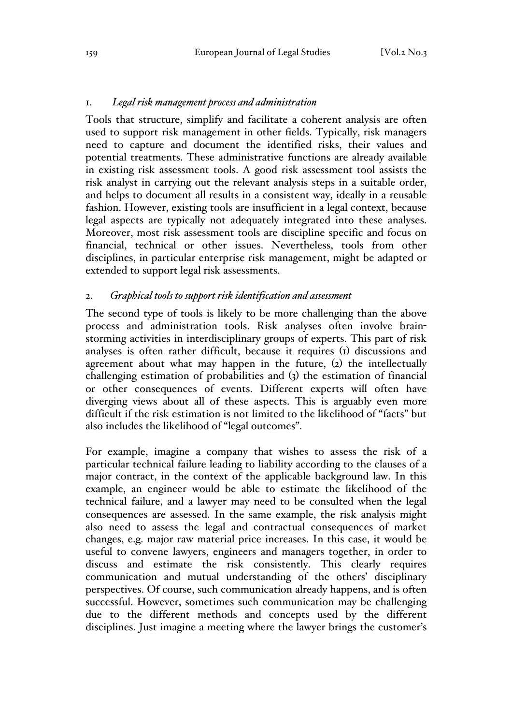### 1. *Legal risk management process and administration*

Tools that structure, simplify and facilitate a coherent analysis are often used to support risk management in other fields. Typically, risk managers need to capture and document the identified risks, their values and potential treatments. These administrative functions are already available in existing risk assessment tools. A good risk assessment tool assists the risk analyst in carrying out the relevant analysis steps in a suitable order, and helps to document all results in a consistent way, ideally in a reusable fashion. However, existing tools are insufficient in a legal context, because legal aspects are typically not adequately integrated into these analyses. Moreover, most risk assessment tools are discipline specific and focus on financial, technical or other issues. Nevertheless, tools from other disciplines, in particular enterprise risk management, might be adapted or extended to support legal risk assessments.

### 2. *Graphical tools to support risk identification and assessment*

The second type of tools is likely to be more challenging than the above process and administration tools. Risk analyses often involve brainstorming activities in interdisciplinary groups of experts. This part of risk analyses is often rather difficult, because it requires (1) discussions and agreement about what may happen in the future, (2) the intellectually challenging estimation of probabilities and (3) the estimation of financial or other consequences of events. Different experts will often have diverging views about all of these aspects. This is arguably even more difficult if the risk estimation is not limited to the likelihood of "facts" but also includes the likelihood of "legal outcomes".

For example, imagine a company that wishes to assess the risk of a particular technical failure leading to liability according to the clauses of a major contract, in the context of the applicable background law. In this example, an engineer would be able to estimate the likelihood of the technical failure, and a lawyer may need to be consulted when the legal consequences are assessed. In the same example, the risk analysis might also need to assess the legal and contractual consequences of market changes, e.g. major raw material price increases. In this case, it would be useful to convene lawyers, engineers and managers together, in order to discuss and estimate the risk consistently. This clearly requires communication and mutual understanding of the others' disciplinary perspectives. Of course, such communication already happens, and is often successful. However, sometimes such communication may be challenging due to the different methods and concepts used by the different disciplines. Just imagine a meeting where the lawyer brings the customer's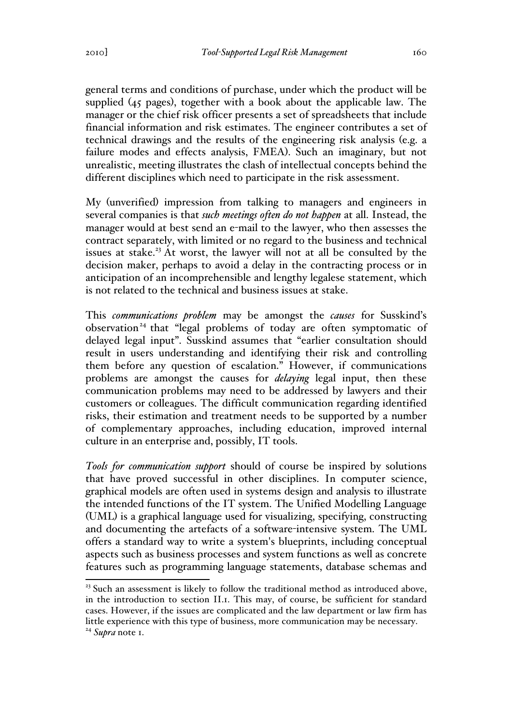general terms and conditions of purchase, under which the product will be supplied (45 pages), together with a book about the applicable law. The manager or the chief risk officer presents a set of spreadsheets that include financial information and risk estimates. The engineer contributes a set of technical drawings and the results of the engineering risk analysis (e.g. a failure modes and effects analysis, FMEA). Such an imaginary, but not unrealistic, meeting illustrates the clash of intellectual concepts behind the different disciplines which need to participate in the risk assessment.

My (unverified) impression from talking to managers and engineers in several companies is that *such meetings often do not happen* at all. Instead, the manager would at best send an e-mail to the lawyer, who then assesses the contract separately, with limited or no regard to the business and technical issues at stake.<sup>23</sup> At worst, the lawyer will not at all be consulted by the decision maker, perhaps to avoid a delay in the contracting process or in anticipation of an incomprehensible and lengthy legalese statement, which is not related to the technical and business issues at stake.

This *communications problem* may be amongst the *causes* for Susskind's observation<sup>24</sup> that "legal problems of today are often symptomatic of delayed legal input". Susskind assumes that "earlier consultation should result in users understanding and identifying their risk and controlling them before any question of escalation." However, if communications problems are amongst the causes for *delaying* legal input, then these communication problems may need to be addressed by lawyers and their customers or colleagues. The difficult communication regarding identified risks, their estimation and treatment needs to be supported by a number of complementary approaches, including education, improved internal culture in an enterprise and, possibly, IT tools.

*Tools for communication support* should of course be inspired by solutions that have proved successful in other disciplines. In computer science, graphical models are often used in systems design and analysis to illustrate the intended functions of the IT system. The Unified Modelling Language (UML) is a graphical language used for visualizing, specifying, constructing and documenting the artefacts of a software-intensive system. The UML offers a standard way to write a system's blueprints, including conceptual aspects such as business processes and system functions as well as concrete features such as programming language statements, database schemas and

 $23$  Such an assessment is likely to follow the traditional method as introduced above, in the introduction to section II.1. This may, of course, be sufficient for standard cases. However, if the issues are complicated and the law department or law firm has little experience with this type of business, more communication may be necessary. <sup>24</sup> *Supra* note 1.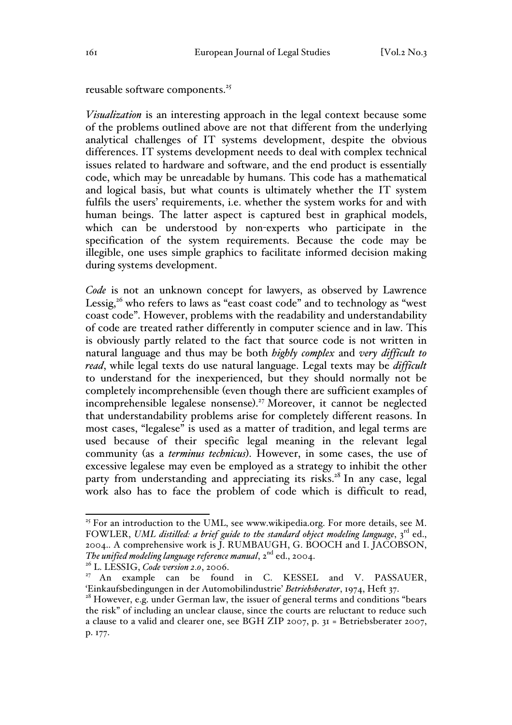reusable software components.<sup>25</sup>

*Visualization* is an interesting approach in the legal context because some of the problems outlined above are not that different from the underlying analytical challenges of IT systems development, despite the obvious differences. IT systems development needs to deal with complex technical issues related to hardware and software, and the end product is essentially code, which may be unreadable by humans. This code has a mathematical and logical basis, but what counts is ultimately whether the IT system fulfils the users' requirements, i.e. whether the system works for and with human beings. The latter aspect is captured best in graphical models, which can be understood by non-experts who participate in the specification of the system requirements. Because the code may be illegible, one uses simple graphics to facilitate informed decision making during systems development.

*Code* is not an unknown concept for lawyers, as observed by Lawrence Lessig,<sup>26</sup> who refers to laws as "east coast code" and to technology as "west coast code". However, problems with the readability and understandability of code are treated rather differently in computer science and in law. This is obviously partly related to the fact that source code is not written in natural language and thus may be both *highly complex* and *very difficult to read*, while legal texts do use natural language. Legal texts may be *difficult* to understand for the inexperienced, but they should normally not be completely incomprehensible (even though there are sufficient examples of incomprehensible legalese nonsense). <sup>27</sup> Moreover, it cannot be neglected that understandability problems arise for completely different reasons. In most cases, "legalese" is used as a matter of tradition, and legal terms are used because of their specific legal meaning in the relevant legal community (as a *terminus technicus*). However, in some cases, the use of excessive legalese may even be employed as a strategy to inhibit the other party from understanding and appreciating its risks.<sup>28</sup> In any case, legal work also has to face the problem of code which is difficult to read,

 $25$  For an introduction to the UML, see www.wikipedia.org. For more details, see M. FOWLER, *UML distilled: a brief guide to the standard object modeling language*, 3<sup>rd</sup> ed., 2004.. A comprehensive work is  $\overline{J}$ . RUMBAUGH, G. BOOCH and I.  $\overline{J}$ ACOBSON, The unified modeling language reference manual,  $2^{nd}$  ed., 2004.

<sup>&</sup>lt;sup>26</sup> L. LESSIG, *Code version 2.0*, 2006.<br><sup>27</sup> An example can be found in C. KESSEL and V. PASSAUER, <br>'Einkaufsbedingungen in der Automobilindustrie' *Betriebsberater*, 1974, Heft 37.

<sup>&</sup>lt;sup>28</sup> However, e.g. under German law, the issuer of general terms and conditions "bears the risk" of including an unclear clause, since the courts are reluctant to reduce such a clause to a valid and clearer one, see BGH ZIP 2007, p. 31 = Betriebsberater 2007, p. 177.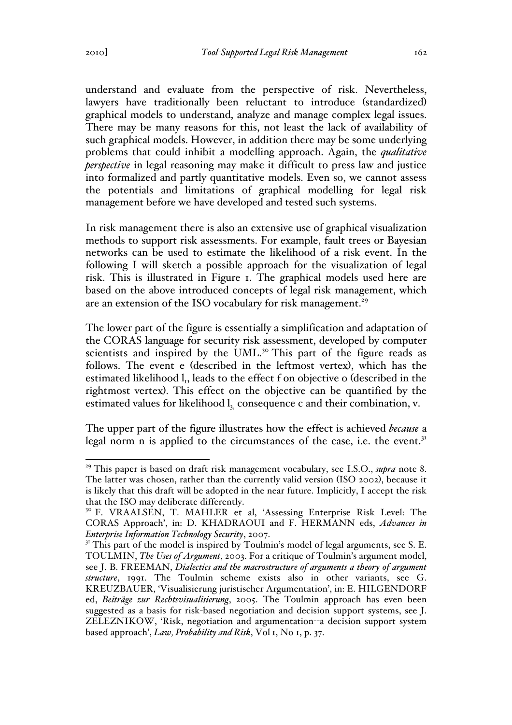understand and evaluate from the perspective of risk. Nevertheless, lawyers have traditionally been reluctant to introduce (standardized) graphical models to understand, analyze and manage complex legal issues. There may be many reasons for this, not least the lack of availability of such graphical models. However, in addition there may be some underlying problems that could inhibit a modelling approach. Again, the *qualitative perspective* in legal reasoning may make it difficult to press law and justice into formalized and partly quantitative models. Even so, we cannot assess the potentials and limitations of graphical modelling for legal risk management before we have developed and tested such systems.

In risk management there is also an extensive use of graphical visualization methods to support risk assessments. For example, fault trees or Bayesian networks can be used to estimate the likelihood of a risk event. In the following I will sketch a possible approach for the visualization of legal risk. This is illustrated in Figure 1. The graphical models used here are based on the above introduced concepts of legal risk management, which are an extension of the ISO vocabulary for risk management.<sup>29</sup>

The lower part of the figure is essentially a simplification and adaptation of the CORAS language for security risk assessment, developed by computer scientists and inspired by the UML.<sup>30</sup> This part of the figure reads as follows. The event e (described in the leftmost vertex), which has the estimated likelihood  $l_1$ , leads to the effect f on objective o (described in the rightmost vertex). This effect on the objective can be quantified by the estimated values for likelihood  $l_1$  consequence c and their combination, v.

The upper part of the figure illustrates how the effect is achieved *because* a legal norm n is applied to the circumstances of the case, i.e. the event.<sup>31</sup>

 <sup>29</sup> This paper is based on draft risk management vocabulary, see I.S.O., *supra* note 8. The latter was chosen, rather than the currently valid version (ISO 2002), because it is likely that this draft will be adopted in the near future. Implicitly, I accept the risk that the ISO may deliberate differently.

<sup>&</sup>lt;sup>30</sup> F. VRAALSEN, T. MAHLER et al, 'Assessing Enterprise Risk Level: The CORAS Approach', in: D. KHADRAOUI and F. HERMANN eds, *Advances in* 

*Enterprise Information Technology Security*, 2007.<br><sup>31</sup> This part of the model is inspired by Toulmin's model of legal arguments, see S. E. TOULMIN, *The Uses of Argument*, 2003. For a critique of Toulmin's argument model, see J. B. FREEMAN, *Dialectics and the macrostructure of arguments a theory of argument structure*, 1991. The Toulmin scheme exists also in other variants, see G. KREUZBAUER, 'Visualisierung juristischer Argumentation', in: E. HILGENDORF ed, *Beiträge zur Rechtsvisualisierung*, 2005. The Toulmin approach has even been suggested as a basis for risk-based negotiation and decision support systems, see J. ZELEZNIKOW, 'Risk, negotiation and argumentation--a decision support system based approach', *Law, Probability and Risk*, Vol 1, No 1, p. 37.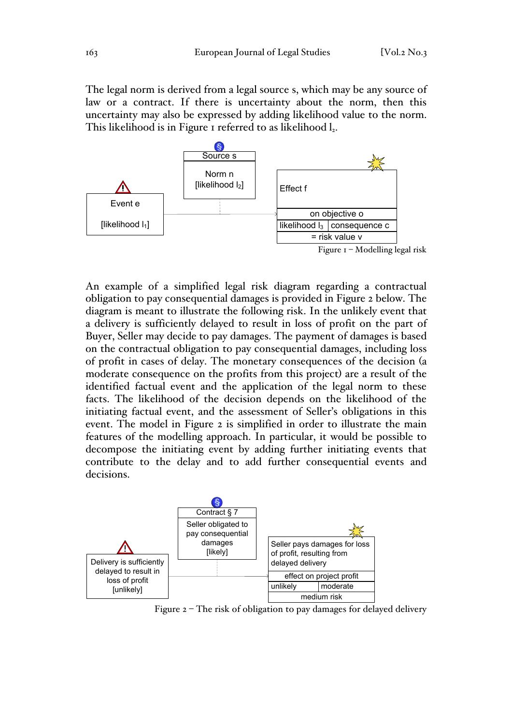The legal norm is derived from a legal source s, which may be any source of law or a contract. If there is uncertainty about the norm, then this uncertainty may also be expressed by adding likelihood value to the norm. This likelihood is in Figure 1 referred to as likelihood l<sub>2</sub>.



An example of a simplified legal risk diagram regarding a contractual obligation to pay consequential damages is provided in Figure 2 below. The diagram is meant to illustrate the following risk. In the unlikely event that a delivery is sufficiently delayed to result in loss of profit on the part of Buyer, Seller may decide to pay damages. The payment of damages is based on the contractual obligation to pay consequential damages, including loss of profit in cases of delay. The monetary consequences of the decision (a moderate consequence on the profits from this project) are a result of the identified factual event and the application of the legal norm to these facts. The likelihood of the decision depends on the likelihood of the initiating factual event, and the assessment of Seller's obligations in this event. The model in Figure 2 is simplified in order to illustrate the main features of the modelling approach. In particular, it would be possible to decompose the initiating event by adding further initiating events that contribute to the delay and to add further consequential events and decisions.



Figure 2 – The risk of obligation to pay damages for delayed delivery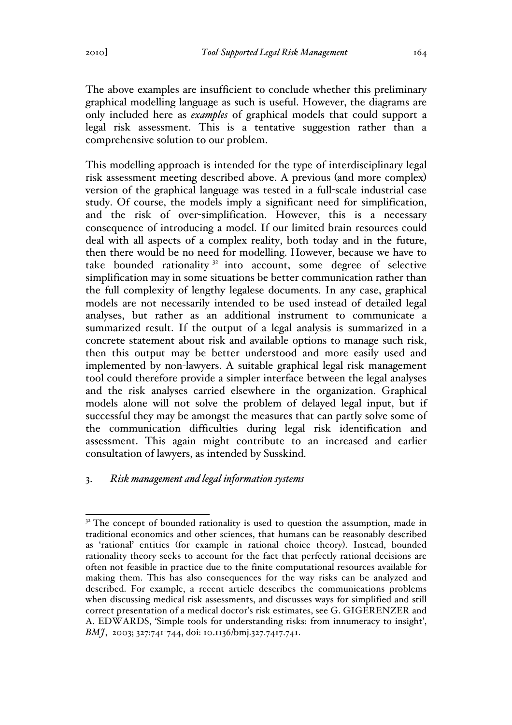The above examples are insufficient to conclude whether this preliminary graphical modelling language as such is useful. However, the diagrams are only included here as *examples* of graphical models that could support a legal risk assessment. This is a tentative suggestion rather than a comprehensive solution to our problem.

This modelling approach is intended for the type of interdisciplinary legal risk assessment meeting described above. A previous (and more complex) version of the graphical language was tested in a full-scale industrial case study. Of course, the models imply a significant need for simplification, and the risk of over-simplification. However, this is a necessary consequence of introducing a model. If our limited brain resources could deal with all aspects of a complex reality, both today and in the future, then there would be no need for modelling. However, because we have to take bounded rationality  $3^2$  into account, some degree of selective simplification may in some situations be better communication rather than the full complexity of lengthy legalese documents. In any case, graphical models are not necessarily intended to be used instead of detailed legal analyses, but rather as an additional instrument to communicate a summarized result. If the output of a legal analysis is summarized in a concrete statement about risk and available options to manage such risk, then this output may be better understood and more easily used and implemented by non-lawyers. A suitable graphical legal risk management tool could therefore provide a simpler interface between the legal analyses and the risk analyses carried elsewhere in the organization. Graphical models alone will not solve the problem of delayed legal input, but if successful they may be amongst the measures that can partly solve some of the communication difficulties during legal risk identification and assessment. This again might contribute to an increased and earlier consultation of lawyers, as intended by Susskind.

# 3. *Risk management and legal information systems*

 $3<sup>32</sup>$  The concept of bounded rationality is used to question the assumption, made in traditional economics and other sciences, that humans can be reasonably described as 'rational' entities (for example in rational choice theory). Instead, bounded rationality theory seeks to account for the fact that perfectly rational decisions are often not feasible in practice due to the finite computational resources available for making them. This has also consequences for the way risks can be analyzed and described. For example, a recent article describes the communications problems when discussing medical risk assessments, and discusses ways for simplified and still correct presentation of a medical doctor's risk estimates, see G. GIGERENZER and A. EDWARDS, 'Simple tools for understanding risks: from innumeracy to insight', *BMJ*, 2003; 327:741-744, doi: 10.1136/bmj.327.7417.741.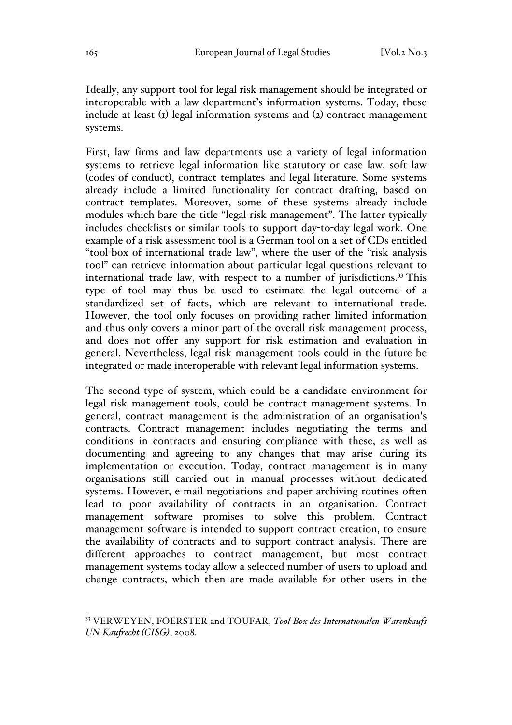Ideally, any support tool for legal risk management should be integrated or interoperable with a law department's information systems. Today, these include at least (1) legal information systems and (2) contract management systems.

First, law firms and law departments use a variety of legal information systems to retrieve legal information like statutory or case law, soft law (codes of conduct), contract templates and legal literature. Some systems already include a limited functionality for contract drafting, based on contract templates. Moreover, some of these systems already include modules which bare the title "legal risk management". The latter typically includes checklists or similar tools to support day-to-day legal work. One example of a risk assessment tool is a German tool on a set of CDs entitled "tool-box of international trade law", where the user of the "risk analysis tool" can retrieve information about particular legal questions relevant to international trade law, with respect to a number of jurisdictions.<sup>33</sup> This type of tool may thus be used to estimate the legal outcome of a standardized set of facts, which are relevant to international trade. However, the tool only focuses on providing rather limited information and thus only covers a minor part of the overall risk management process, and does not offer any support for risk estimation and evaluation in general. Nevertheless, legal risk management tools could in the future be integrated or made interoperable with relevant legal information systems.

The second type of system, which could be a candidate environment for legal risk management tools, could be contract management systems. In general, contract management is the administration of an organisation's contracts. Contract management includes negotiating the terms and conditions in contracts and ensuring compliance with these, as well as documenting and agreeing to any changes that may arise during its implementation or execution. Today, contract management is in many organisations still carried out in manual processes without dedicated systems. However, e-mail negotiations and paper archiving routines often lead to poor availability of contracts in an organisation. Contract management software promises to solve this problem. Contract management software is intended to support contract creation, to ensure the availability of contracts and to support contract analysis. There are different approaches to contract management, but most contract management systems today allow a selected number of users to upload and change contracts, which then are made available for other users in the

 <sup>33</sup> VERWEYEN, FOERSTER and TOUFAR, *Tool-Box des Internationalen Warenkaufs UN-Kaufrecht (CISG)*, 2008.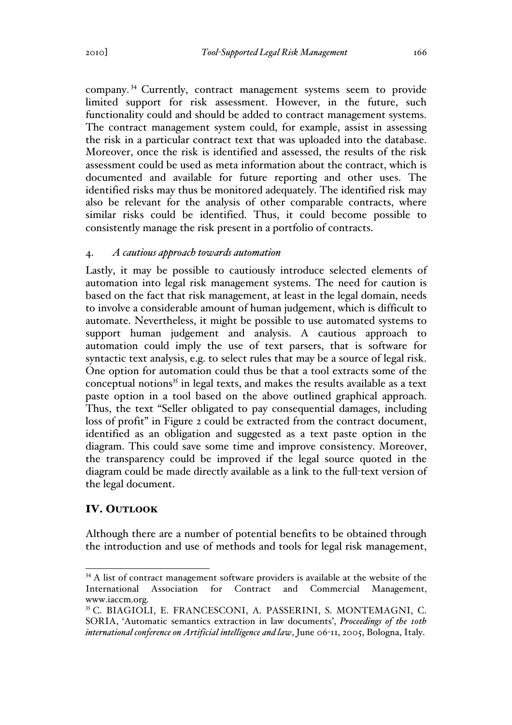company. <sup>34</sup> Currently, contract management systems seem to provide limited support for risk assessment. However, in the future, such functionality could and should be added to contract management systems. The contract management system could, for example, assist in assessing the risk in a particular contract text that was uploaded into the database. Moreover, once the risk is identified and assessed, the results of the risk assessment could be used as meta information about the contract, which is documented and available for future reporting and other uses. The identified risks may thus be monitored adequately. The identified risk may also be relevant for the analysis of other comparable contracts, where similar risks could be identified. Thus, it could become possible to consistently manage the risk present in a portfolio of contracts.

## 4. *A cautious approach towards automation*

Lastly, it may be possible to cautiously introduce selected elements of automation into legal risk management systems. The need for caution is based on the fact that risk management, at least in the legal domain, needs to involve a considerable amount of human judgement, which is difficult to automate. Nevertheless, it might be possible to use automated systems to support human judgement and analysis. A cautious approach to automation could imply the use of text parsers, that is software for syntactic text analysis, e.g. to select rules that may be a source of legal risk. One option for automation could thus be that a tool extracts some of the conceptual notions $35$  in legal texts, and makes the results available as a text paste option in a tool based on the above outlined graphical approach. Thus, the text "Seller obligated to pay consequential damages, including loss of profit" in Figure 2 could be extracted from the contract document, identified as an obligation and suggested as a text paste option in the diagram. This could save some time and improve consistency. Moreover, the transparency could be improved if the legal source quoted in the diagram could be made directly available as a link to the full-text version of the legal document.

## IV. OUTLOOK

Although there are a number of potential benefits to be obtained through the introduction and use of methods and tools for legal risk management,

<sup>&</sup>lt;sup>34</sup> A list of contract management software providers is available at the website of the International Association for Contract and Commercial Management, www.iaccm.org.

<sup>35</sup> C. BIAGIOLI, E. FRANCESCONI, A. PASSERINI, S. MONTEMAGNI, C. SORIA, 'Automatic semantics extraction in law documents', *Proceedings of the 10th international conference on Artificial intelligence and law*, June 06-11, 2005, Bologna, Italy.